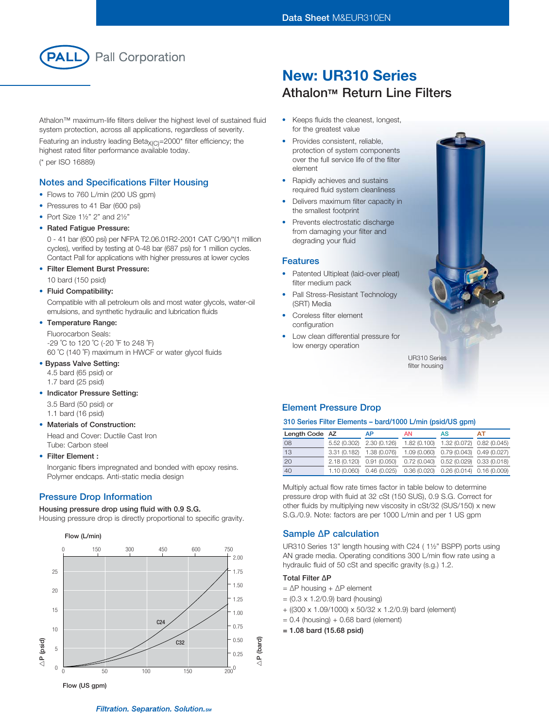

Athalon™ maximum-life filters deliver the highest level of sustained fluid system protection, across all applications, regardless of severity.

Featuring an industry leading Beta $X_{(C)}$ =2000\* filter efficiency; the highest rated filter performance available today. (\* per ISO 16889)

### Notes and Specifications Filter Housing

- Flows to 760 L/min (200 US gpm)
- Pressures to 41 Bar (600 psi)
- Port Size  $1\frac{1}{2}$ " 2" and  $2\frac{1}{2}$ "
- Rated Fatigue Pressure:

0 - 41 bar (600 psi) per NFPA T2.06.01R2-2001 CAT C/90/\*(1 million cycles), verified by testing at 0-48 bar (687 psi) for 1 million cycles. Contact Pall for applications with higher pressures at lower cycles

• Filter Element Burst Pressure:

10 bard (150 psid)

#### • Fluid Compatibility:

Compatible with all petroleum oils and most water glycols, water-oil emulsions, and synthetic hydraulic and lubrication fluids

#### • Temperature Range:

Fluorocarbon Seals: -29 ˚C to 120 ˚C (-20 ˚F to 248 ˚F) 60 ˚C (140 ˚F) maximum in HWCF or water glycol fluids

### • Bypass Valve Setting:

- 4.5 bard (65 psid) or 1.7 bard (25 psid)
- Indicator Pressure Setting:
	- 3.5 Bard (50 psid) or
	- 1.1 bard (16 psid)
- Materials of Construction:

Head and Cover: Ductile Cast Iron Tube: Carbon steel

#### • Filter Element :

Inorganic fibers impregnated and bonded with epoxy resins. Polymer endcaps. Anti-static media design

#### Pressure Drop Information

#### Housing pressure drop using fluid with 0.9 S.G.

Housing pressure drop is directly proportional to specific gravity.



# New: UR310 Series **Athalon™ Return Line Filters**

- • Keeps fluids the cleanest, longest, for the greatest value
- Provides consistent, reliable, protection of system components over the full service life of the filter element
- Rapidly achieves and sustains required fluid system cleanliness
- Delivers maximum filter capacity in the smallest footprint
- Prevents electrostatic discharge from damaging your filter and degrading your fluid

#### Features

- Patented Ultipleat (laid-over pleat) filter medium pack
- Pall Stress-Resistant Technology (SRT) Media
- Coreless filter element configuration
- Low clean differential pressure for low energy operation

UR310 Series filter housing

## Element Pressure Drop

#### 310 Series Filter Elements – bard/1000 L/min (psid/US gpm)

| Length Code AZ |                           | АP                                                               | AN | AS                                        | АT |
|----------------|---------------------------|------------------------------------------------------------------|----|-------------------------------------------|----|
| 08             | 5.52 (0.302) 2.30 (0.126) |                                                                  |    | 1.82 (0.100) 1.32 (0.072) 0.82 (0.045)    |    |
| 13             | 3.31 (0.182) 1.38 (0.076) |                                                                  |    | 1.09 (0.060) 0.79 (0.043) 0.49 (0.027)    |    |
| 20             | 2.18 (0.120) 0.91 (0.050) |                                                                  |    | $0.72(0.040)$ $0.52(0.029)$ $0.33(0.018)$ |    |
| 40             |                           | 1.10 (0.060) 0.46 (0.025) 0.36 (0.020) 0.26 (0.014) 0.16 (0.009) |    |                                           |    |

Multiply actual flow rate times factor in table below to determine pressure drop with fluid at 32 cSt (150 SUS), 0.9 S.G. Correct for other fluids by multiplying new viscosity in cSt/32 (SUS/150) x new S.G./0.9. Note: factors are per 1000 L/min and per 1 US gpm

#### Sample ∆P calculation

UR310 Series 13" length housing with C24 ( 1½" BSPP) ports using AN grade media. Operating conditions 300 L/min flow rate using a hydraulic fluid of 50 cSt and specific gravity (s.g.) 1.2.

## Total Filter ∆P

- = ∆P housing + ∆P element
- $= (0.3 \times 1.2/0.9)$  bard (housing)
- + ((300 x 1.09/1000) x 50/32 x 1.2/0.9) bard (element)
- $= 0.4$  (housing) + 0.68 bard (element)
- = 1.08 bard (15.68 psid)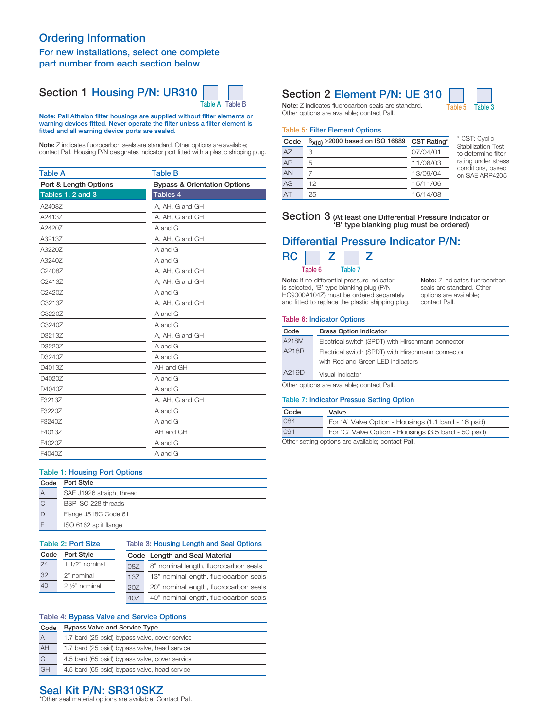## Ordering Information

### For new installations, select one complete part number from each section below

## Section 1 Housing P/N: UR310



Note: Pall Athalon filter housings are supplied without filter elements or warning devices fitted. Never operate the filter unless a filter element is fitted and all warning device ports are sealed.

Note: Z indicates fluorocarbon seals are standard. Other options are available; contact Pall. Housing P/N designates indicator port fitted with a plastic shipping plug.

| <b>Table A</b>        | <b>Table B</b>                          |
|-----------------------|-----------------------------------------|
| Port & Length Options | <b>Bypass &amp; Orientation Options</b> |
| Tables 1, 2 and 3     | Tables 4                                |
| A2408Z                | A, AH, G and GH                         |
| A2413Z                | A, AH, G and GH                         |
| A2420Z                | A and G                                 |
| A3213Z                | A, AH, G and GH                         |
| A3220Z                | A and G                                 |
| A3240Z                | A and G                                 |
| C2408Z                | A, AH, G and GH                         |
| C2413Z                | A, AH, G and GH                         |
| C2420Z                | A and G                                 |
| C3213Z                | A, AH, G and GH                         |
| C3220Z                | A and G                                 |
| C3240Z                | A and G                                 |
| D3213Z                | A, AH, G and GH                         |
| D3220Z                | A and G                                 |
| D3240Z                | A and G                                 |
| D4013Z                | AH and GH                               |
| D4020Z                | A and G                                 |
| D4040Z                | A and G                                 |
| F3213Z                | A, AH, G and GH                         |
| F3220Z                | A and G                                 |
| F3240Z                | A and G                                 |
| F4013Z                | AH and GH                               |
| F4020Z                | A and G                                 |
| F4040Z                | A and G                                 |

## Table 1: Housing Port Options

| Code | <b>Port Style</b>         |
|------|---------------------------|
| А    | SAE J1926 straight thread |
| C    | BSP ISO 228 threads       |
| D    | Flange J518C Code 61      |
|      | ISO 6162 split flange     |

| Table 2: Port Size |                               |     | Table 3: Housing Length and Seal Options |  |  |
|--------------------|-------------------------------|-----|------------------------------------------|--|--|
| Port Style<br>Code |                               |     | Code Length and Seal Material            |  |  |
| 24                 | 1 1/2" nominal                | 087 | 8" nominal length, fluorocarbon seals    |  |  |
| 32                 | 2" nominal<br>137             |     | 13" nominal length, fluorocarbon seals   |  |  |
| 40                 | $2\frac{1}{2}$ nominal<br>207 |     | 20" nominal length, fluorocarbon seals   |  |  |
|                    |                               | 407 | 40" nominal length, fluorocarbon seals   |  |  |

### Table 4: Bypass Valve and Service Options

| Code | <b>Bypass Valve and Service Type</b>           |  |  |  |
|------|------------------------------------------------|--|--|--|
| A    | 1.7 bard (25 psid) bypass valve, cover service |  |  |  |
| AH   | 1.7 bard (25 psid) bypass valve, head service  |  |  |  |
| G    | 4.5 bard (65 psid) bypass valve, cover service |  |  |  |
| GH   | 4.5 bard (65 psid) bypass valve, head service  |  |  |  |

## Section 2 Element P/N: UE 310



Note: Z indicates fluorocarbon seals are standard. Table 5 Table 3 Other options are available; contact Pall.

#### Table 5: Filter Element Options

| Code | $\beta_{X(C)} \ge 2000$ based on ISO 16889 CST Rating* |          |
|------|--------------------------------------------------------|----------|
| A7   | З                                                      | 07/04/01 |
| AP   | 5                                                      | 11/08/03 |
| AN   |                                                        | 13/09/04 |
| AS   | 12                                                     | 15/11/06 |
|      | 25                                                     | 16/14/08 |

CST: Cyclic Stabilization Test to determine filter rating under stress conditions, based on SAE ARP4205

Note: Z indicates fluorocarbon seals are standard. Other options are available; contact Pall.

#### Section 3 (At least one Differential Pressure Indicator or 'B' type blanking plug must be ordered)

## Differential Pressure Indicator P/N:



Note: If no differential pressure indicator is selected, 'B' type blanking plug (P/N HC9000A104Z) must be ordered separately and fitted to replace the plastic shipping plug.

#### Table 6: Indicator Options

| Code  | <b>Brass Option indicator</b>                      |
|-------|----------------------------------------------------|
| A218M | Electrical switch (SPDT) with Hirschmann connector |
| A218R | Electrical switch (SPDT) with Hirschmann connector |
|       | with Red and Green LED indicators                  |
| A219D | Visual indicator                                   |

Other options are available; contact Pall.

#### Table 7: Indicator Pressue Setting Option

| Code | Valve                                                |  |  |
|------|------------------------------------------------------|--|--|
| 084  | For 'A' Valve Option - Housings (1.1 bard - 16 psid) |  |  |
| 091  | For 'G' Valve Option - Housings (3.5 bard - 50 psid) |  |  |
|      |                                                      |  |  |

Other setting options are available; contact Pall.

## Seal Kit P/N: SR310SKZ

\*Other seal material options are available; Contact Pall.